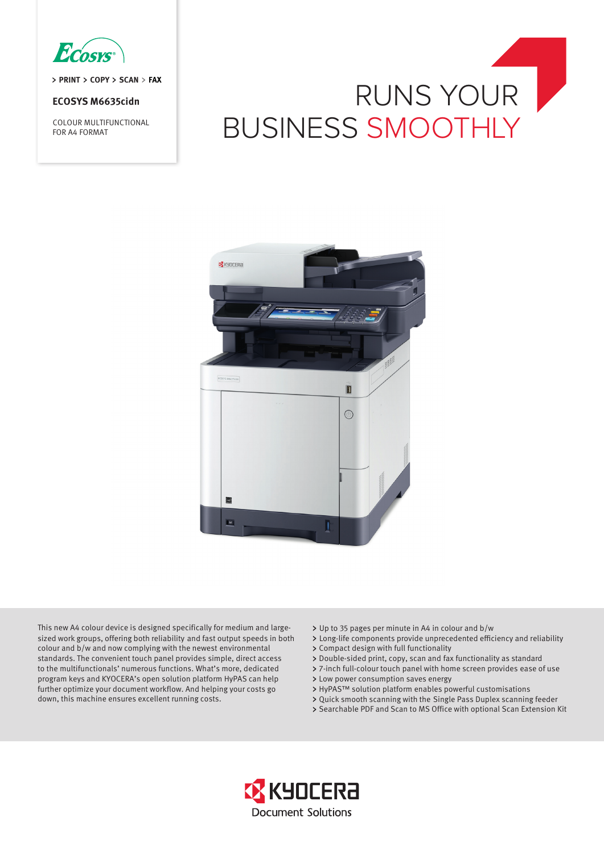

> PRINT > COPY > SCAN > FAX

## **ECOSYS M6635cidn**

COLOUR MULTIFUNCTIONAL FOR A4 FORMAT

# RUNS YOUR BUSINESS SMOOTHLY



This new A4 colour device is designed specifically for medium and largesized work groups, offering both reliability and fast output speeds in both colour and b/w and now complying with the newest environmental standards. The convenient touch panel provides simple, direct access to the multifunctionals' numerous functions. What's more, dedicated program keys and KYOCERA's open solution platform HyPAS can help further optimize your document workflow. And helping your costs go down, this machine ensures excellent running costs.

- Up to 35 pages per minute in A4 in colour and b/w
- Long-life components provide unprecedented efficiency and reliability
- Compact design with full functionality
- Double-sided print, copy, scan and fax functionality as standard
- 7-inch full-colour touch panel with home screen provides ease of use
- > Low power consumption saves energy
- HyPAS™ solution platform enables powerful customisations
- Quick smooth scanning with the Single Pass Duplex scanning feeder
- Searchable PDF and Scan to MS Office with optional Scan Extension Kit